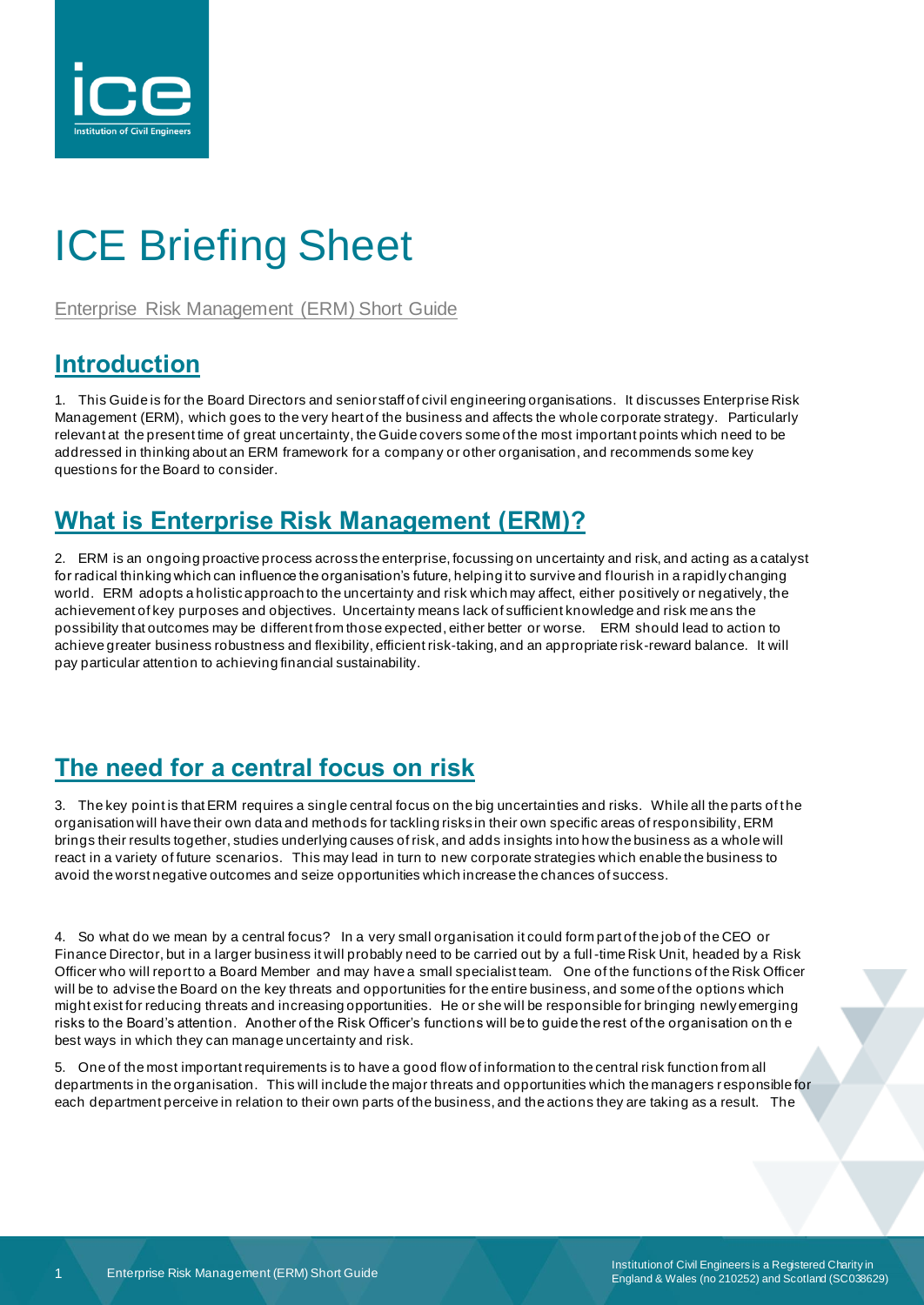

# ICE Briefing Sheet

Enterprise Risk Management (ERM) Short Guide

# **Introduction**

1. This Guide is for the Board Directors and senior staff of civil engineering organisations. It discusses Enterprise Risk Management (ERM), which goes to the very heart of the business and affects the whole corporate strategy. Particularly relevant at the present time of great uncertainty, the Guide covers some of the most important points which need to be addressed in thinking about an ERM framework for a company or other organisation, and recommends some key questions for the Board to consider.

# **What is Enterprise Risk Management (ERM)?**

2. ERM is an ongoing proactive process across the enterprise, focussing on uncertainty and risk, and acting as a catalyst for radical thinking which can influence the organisation's future, helping it to survive and flourish in a rapidly changing world. ERM adopts a holistic approach to the uncertainty and risk which may affect, either positively or negatively, the achievement of key purposes and objectives. Uncertainty means lack of sufficient knowledge and risk means the possibility that outcomes may be different from those expected, either better or worse. ERM should lead to action to achieve greater business robustness and flexibility, efficient risk-taking, and an appropriate risk-reward balance. It will pay particular attention to achieving financial sustainability.

# **The need for a central focus on risk**

3. The key point is that ERM requires a single central focus on the big uncertainties and risks. While all the parts of the organisation will have their own data and methods for tackling risks in their own specific areas of responsibility, ERM brings their results together, studies underlying causes of risk, and adds insights into how the business as a whole will react in a variety of future scenarios. This may lead in turn to new corporate strategies which enable the business to avoid the worst negative outcomes and seize opportunities which increase the chances of success.

4. So what do we mean by a central focus? In a very small organisation it could form part of the job of the CEO or Finance Director, but in a larger business it will probably need to be carried out by a full-time Risk Unit, headed by a Risk Officer who will report to a Board Member and may have a small specialist team. One of the functions of the Risk Officer will be to advise the Board on the key threats and opportunities for the entire business, and some of the options which might exist for reducing threats and increasing opportunities. He or she will be responsible for bringing newly emerging risks to the Board's attention. Another of the Risk Officer's functions will be to guide the rest of the organisation on th e best ways in which they can manage uncertainty and risk.

5. One of the most important requirements is to have a good flow of information to the central risk function from all departments in the organisation. This will include the major threats and opportunities which the managers r esponsible for each department perceive in relation to their own parts of the business, and the actions they are taking as a result. The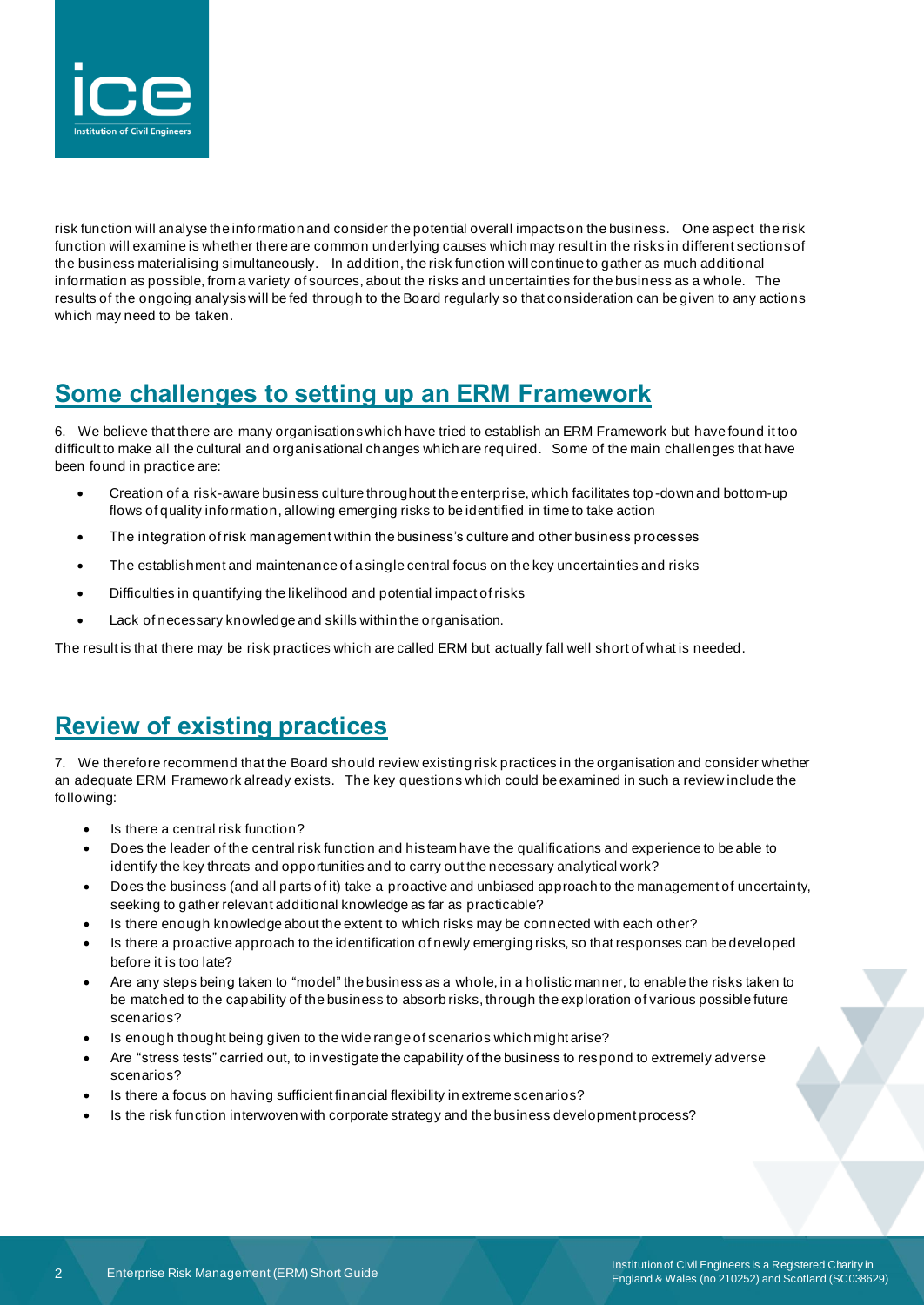

risk function will analyse the information and consider the potential overall impacts on the business. One aspect the risk function will examine is whether there are common underlying causes which may result in the risks in different sections of the business materialising simultaneously. In addition, the risk function will continue to gather as much additional information as possible, from a variety of sources, about the risks and uncertainties for the business as a whole. The results of the ongoing analysis will be fed through to the Board regularly so that consideration can be given to any actions which may need to be taken.

### **Some challenges to setting up an ERM Framework**

6. We believe that there are many organisations which have tried to establish an ERM Framework but have found it too difficult to make all the cultural and organisational changes which are req uired. Some of the main challenges that have been found in practice are:

- Creation of a risk-aware business culture throughout the enterprise, which facilitates top -down and bottom-up flows of quality information, allowing emerging risks to be identified in time to take action
- The integration of risk management within the business's culture and other business processes
- The establishment and maintenance of a single central focus on the key uncertainties and risks
- Difficulties in quantifying the likelihood and potential impact of risks
- Lack of necessary knowledge and skills within the organisation.

The result is that there may be risk practices which are called ERM but actually fall well short of what is needed.

### **Review of existing practices**

7. We therefore recommend that the Board should review existing risk practices in the organisation and consider whether an adequate ERM Framework already exists. The key questions which could be examined in such a review include the following:

- Is there a central risk function?
- Does the leader of the central risk function and his team have the qualifications and experience to be able to identify the key threats and opportunities and to carry out the necessary analytical work?
- Does the business (and all parts of it) take a proactive and unbiased approach to the management of uncertainty, seeking to gather relevant additional knowledge as far as practicable?
- Is there enough knowledge about the extent to which risks may be connected with each other?
- Is there a proactive approach to the identification of newly emerging risks, so that responses can be developed before it is too late?
- Are any steps being taken to "model" the business as a whole, in a holistic manner, to enable the risks taken to be matched to the capability of the business to absorb risks, through the exploration of various possible future scenarios?
- Is enough thought being given to the wide range of scenarios which might arise?
- Are "stress tests" carried out, to investigate the capability of the business to res pond to extremely adverse scenarios?
- Is there a focus on having sufficient financial flexibility in extreme scenarios?
- Is the risk function interwoven with corporate strategy and the business development process?